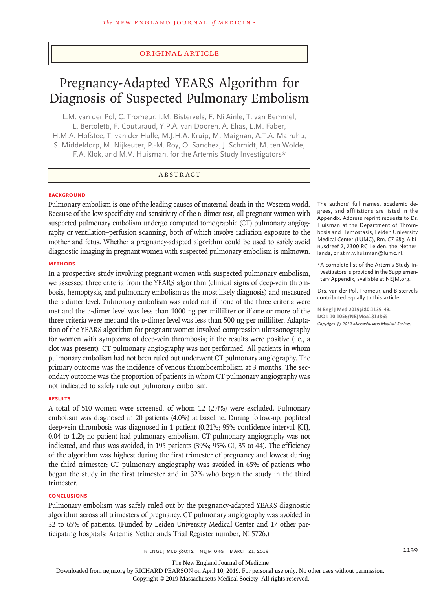## Original Article

# Pregnancy-Adapted YEARS Algorithm for Diagnosis of Suspected Pulmonary Embolism

L.M. van der Pol, C. Tromeur, I.M. Bistervels, F. Ni Ainle, T. van Bemmel, L. Bertoletti, F. Couturaud, Y.P.A. van Dooren, A. Elias, L.M. Faber, H.M.A. Hofstee, T. van der Hulle, M.J.H.A. Kruip, M. Maignan, A.T.A. Mairuhu, S. Middeldorp, M. Nijkeuter, P.-M. Roy, O. Sanchez, J. Schmidt, M. ten Wolde, F.A. Klok, and M.V. Huisman, for the Artemis Study Investigators\*

## ABSTRACT

### **BACKGROUND**

Pulmonary embolism is one of the leading causes of maternal death in the Western world. Because of the low specificity and sensitivity of the  $D$ -dimer test, all pregnant women with suspected pulmonary embolism undergo computed tomographic (CT) pulmonary angiography or ventilation–perfusion scanning, both of which involve radiation exposure to the mother and fetus. Whether a pregnancy-adapted algorithm could be used to safely avoid diagnostic imaging in pregnant women with suspected pulmonary embolism is unknown.

#### **METHODS**

In a prospective study involving pregnant women with suspected pulmonary embolism, we assessed three criteria from the YEARS algorithm (clinical signs of deep-vein thrombosis, hemoptysis, and pulmonary embolism as the most likely diagnosis) and measured the p-dimer level. Pulmonary embolism was ruled out if none of the three criteria were met and the p-dimer level was less than 1000 ng per milliliter or if one or more of the three criteria were met and the  $D$ -dimer level was less than 500 ng per milliliter. Adaptation of the YEARS algorithm for pregnant women involved compression ultrasonography for women with symptoms of deep-vein thrombosis; if the results were positive (i.e., a clot was present), CT pulmonary angiography was not performed. All patients in whom pulmonary embolism had not been ruled out underwent CT pulmonary angiography. The primary outcome was the incidence of venous thromboembolism at 3 months. The secondary outcome was the proportion of patients in whom CT pulmonary angiography was not indicated to safely rule out pulmonary embolism.

## **RESULTS**

A total of 510 women were screened, of whom 12 (2.4%) were excluded. Pulmonary embolism was diagnosed in 20 patients (4.0%) at baseline. During follow-up, popliteal deep-vein thrombosis was diagnosed in 1 patient (0.21%; 95% confidence interval [CI], 0.04 to 1.2); no patient had pulmonary embolism. CT pulmonary angiography was not indicated, and thus was avoided, in 195 patients (39%; 95% CI, 35 to 44). The efficiency of the algorithm was highest during the first trimester of pregnancy and lowest during the third trimester; CT pulmonary angiography was avoided in 65% of patients who began the study in the first trimester and in 32% who began the study in the third trimester.

### **CONCLUSIONS**

Pulmonary embolism was safely ruled out by the pregnancy-adapted YEARS diagnostic algorithm across all trimesters of pregnancy. CT pulmonary angiography was avoided in 32 to 65% of patients. (Funded by Leiden University Medical Center and 17 other participating hospitals; Artemis Netherlands Trial Register number, NL5726.)

The authors' full names, academic degrees, and affiliations are listed in the Appendix. Address reprint requests to Dr. Huisman at the Department of Thrombosis and Hemostasis, Leiden University Medical Center (LUMC), Rm. C7-68g, Albinusdreef 2, 2300 RC Leiden, the Netherlands, or at m.v.huisman@lumc.nl.

\*A complete list of the Artemis Study Investigators is provided in the Supplementary Appendix, available at NEJM.org.

Drs. van der Pol, Tromeur, and Bistervels contributed equally to this article.

**N Engl J Med 2019;380:1139-49. DOI: 10.1056/NEJMoa1813865** *Copyright © 2019 Massachusetts Medical Society.*

The New England Journal of Medicine

Downloaded from nejm.org by RICHARD PEARSON on April 10, 2019. For personal use only. No other uses without permission.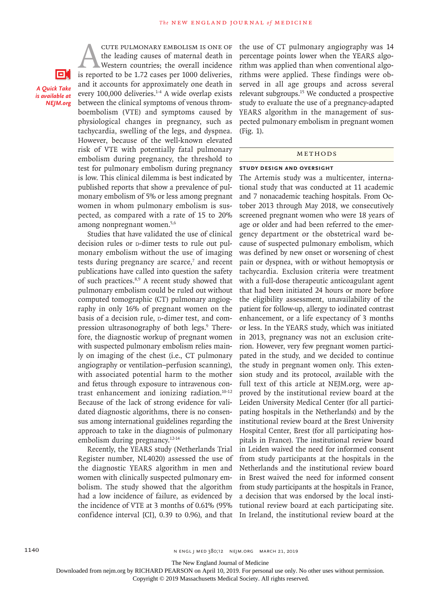oн *A Quick Take is available at NEJM.org*

**EXECUTE PULMONARY EMBOLISM IS ONE OF**<br>the leading causes of maternal death in<br>Western countries; the overall incidence<br>is reported to be 1.72 cases per 1000 deliveries, the leading causes of maternal death in Western countries; the overall incidence and it accounts for approximately one death in every 100,000 deliveries.<sup>1-4</sup> A wide overlap exists between the clinical symptoms of venous thromboembolism (VTE) and symptoms caused by physiological changes in pregnancy, such as tachycardia, swelling of the legs, and dyspnea. However, because of the well-known elevated risk of VTE with potentially fatal pulmonary embolism during pregnancy, the threshold to test for pulmonary embolism during pregnancy is low. This clinical dilemma is best indicated by published reports that show a prevalence of pulmonary embolism of 5% or less among pregnant women in whom pulmonary embolism is suspected, as compared with a rate of 15 to 20% among nonpregnant women.5,6

Studies that have validated the use of clinical decision rules or p-dimer tests to rule out pulmonary embolism without the use of imaging tests during pregnancy are scarce, $7$  and recent publications have called into question the safety of such practices.8,9 A recent study showed that pulmonary embolism could be ruled out without computed tomographic (CT) pulmonary angiography in only 16% of pregnant women on the basis of a decision rule, p-dimer test, and compression ultrasonography of both legs.<sup>9</sup> Therefore, the diagnostic workup of pregnant women with suspected pulmonary embolism relies mainly on imaging of the chest (i.e., CT pulmonary angiography or ventilation–perfusion scanning), with associated potential harm to the mother and fetus through exposure to intravenous contrast enhancement and ionizing radiation.10-12 Because of the lack of strong evidence for validated diagnostic algorithms, there is no consensus among international guidelines regarding the approach to take in the diagnosis of pulmonary embolism during pregnancy.12-14

Recently, the YEARS study (Netherlands Trial Register number, NL4020) assessed the use of the diagnostic YEARS algorithm in men and women with clinically suspected pulmonary embolism. The study showed that the algorithm had a low incidence of failure, as evidenced by the incidence of VTE at 3 months of 0.61% (95% confidence interval [CI], 0.39 to 0.96), and that the use of CT pulmonary angiography was 14 percentage points lower when the YEARS algorithm was applied than when conventional algorithms were applied. These findings were observed in all age groups and across several relevant subgroups.15 We conducted a prospective study to evaluate the use of a pregnancy-adapted YEARS algorithm in the management of suspected pulmonary embolism in pregnant women (Fig. 1).

#### METHODS

#### **Study Design and Oversight**

The Artemis study was a multicenter, international study that was conducted at 11 academic and 7 nonacademic teaching hospitals. From October 2013 through May 2018, we consecutively screened pregnant women who were 18 years of age or older and had been referred to the emergency department or the obstetrical ward because of suspected pulmonary embolism, which was defined by new onset or worsening of chest pain or dyspnea, with or without hemoptysis or tachycardia. Exclusion criteria were treatment with a full-dose therapeutic anticoagulant agent that had been initiated 24 hours or more before the eligibility assessment, unavailability of the patient for follow-up, allergy to iodinated contrast enhancement, or a life expectancy of 3 months or less. In the YEARS study, which was initiated in 2013, pregnancy was not an exclusion criterion. However, very few pregnant women participated in the study, and we decided to continue the study in pregnant women only. This extension study and its protocol, available with the full text of this article at NEJM.org, were approved by the institutional review board at the Leiden University Medical Center (for all participating hospitals in the Netherlands) and by the institutional review board at the Brest University Hospital Center, Brest (for all participating hospitals in France). The institutional review board in Leiden waived the need for informed consent from study participants at the hospitals in the Netherlands and the institutional review board in Brest waived the need for informed consent from study participants at the hospitals in France, a decision that was endorsed by the local institutional review board at each participating site. In Ireland, the institutional review board at the

The New England Journal of Medicine

Downloaded from nejm.org by RICHARD PEARSON on April 10, 2019. For personal use only. No other uses without permission.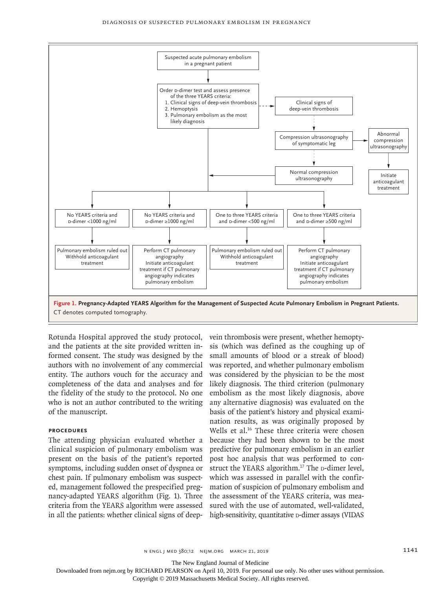

Rotunda Hospital approved the study protocol, and the patients at the site provided written informed consent. The study was designed by the authors with no involvement of any commercial entity. The authors vouch for the accuracy and completeness of the data and analyses and for the fidelity of the study to the protocol. No one who is not an author contributed to the writing of the manuscript.

## **Procedures**

The attending physician evaluated whether a clinical suspicion of pulmonary embolism was present on the basis of the patient's reported symptoms, including sudden onset of dyspnea or chest pain. If pulmonary embolism was suspected, management followed the prespecified pregnancy-adapted YEARS algorithm (Fig. 1). Three criteria from the YEARS algorithm were assessed in all the patients: whether clinical signs of deep-

vein thrombosis were present, whether hemoptysis (which was defined as the coughing up of small amounts of blood or a streak of blood) was reported, and whether pulmonary embolism was considered by the physician to be the most likely diagnosis. The third criterion (pulmonary embolism as the most likely diagnosis, above any alternative diagnosis) was evaluated on the basis of the patient's history and physical examination results, as was originally proposed by Wells et al.<sup>16</sup> These three criteria were chosen because they had been shown to be the most predictive for pulmonary embolism in an earlier post hoc analysis that was performed to construct the YEARS algorithm.<sup>17</sup> The  $\alpha$ -dimer level, which was assessed in parallel with the confirmation of suspicion of pulmonary embolism and the assessment of the YEARS criteria, was measured with the use of automated, well-validated, high-sensitivity, quantitative **D-dimer** assays (VIDAS

The New England Journal of Medicine

Downloaded from nejm.org by RICHARD PEARSON on April 10, 2019. For personal use only. No other uses without permission.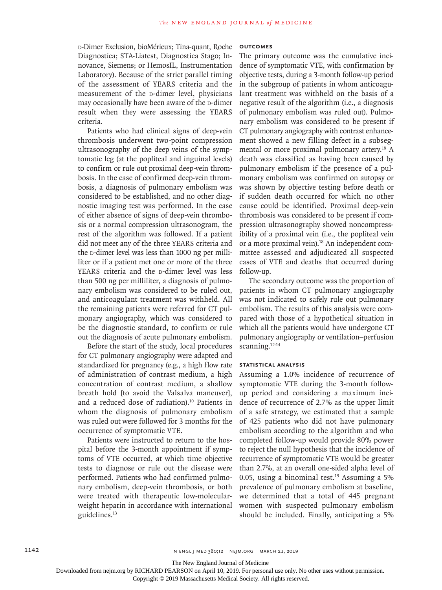d-Dimer Exclusion, bioMérieux; Tina-quant, Roche Diagnostica; STA-Liatest, Diagnostica Stago; Innovance, Siemens; or HemosIL, Instrumentation Laboratory). Because of the strict parallel timing of the assessment of YEARS criteria and the measurement of the p-dimer level, physicians may occasionally have been aware of the p-dimer result when they were assessing the YEARS criteria.

Patients who had clinical signs of deep-vein thrombosis underwent two-point compression ultrasonography of the deep veins of the symptomatic leg (at the popliteal and inguinal levels) to confirm or rule out proximal deep-vein thrombosis. In the case of confirmed deep-vein thrombosis, a diagnosis of pulmonary embolism was considered to be established, and no other diagnostic imaging test was performed. In the case of either absence of signs of deep-vein thrombosis or a normal compression ultrasonogram, the rest of the algorithm was followed. If a patient did not meet any of the three YEARS criteria and the p-dimer level was less than 1000 ng per milliliter or if a patient met one or more of the three YEARS criteria and the p-dimer level was less than 500 ng per milliliter, a diagnosis of pulmonary embolism was considered to be ruled out, and anticoagulant treatment was withheld. All the remaining patients were referred for CT pulmonary angiography, which was considered to be the diagnostic standard, to confirm or rule out the diagnosis of acute pulmonary embolism.

Before the start of the study, local procedures for CT pulmonary angiography were adapted and standardized for pregnancy (e.g., a high flow rate of administration of contrast medium, a high concentration of contrast medium, a shallow breath hold [to avoid the Valsalva maneuver], and a reduced dose of radiation).10 Patients in whom the diagnosis of pulmonary embolism was ruled out were followed for 3 months for the occurrence of symptomatic VTE.

Patients were instructed to return to the hospital before the 3-month appointment if symptoms of VTE occurred, at which time objective tests to diagnose or rule out the disease were performed. Patients who had confirmed pulmonary embolism, deep-vein thrombosis, or both were treated with therapeutic low-molecularweight heparin in accordance with international guidelines.13

## **Outcomes**

The primary outcome was the cumulative incidence of symptomatic VTE, with confirmation by objective tests, during a 3-month follow-up period in the subgroup of patients in whom anticoagulant treatment was withheld on the basis of a negative result of the algorithm (i.e., a diagnosis of pulmonary embolism was ruled out). Pulmonary embolism was considered to be present if CT pulmonary angiography with contrast enhancement showed a new filling defect in a subsegmental or more proximal pulmonary artery.<sup>18</sup> A death was classified as having been caused by pulmonary embolism if the presence of a pulmonary embolism was confirmed on autopsy or was shown by objective testing before death or if sudden death occurred for which no other cause could be identified. Proximal deep-vein thrombosis was considered to be present if compression ultrasonography showed noncompressibility of a proximal vein (i.e., the popliteal vein or a more proximal vein).<sup>18</sup> An independent committee assessed and adjudicated all suspected cases of VTE and deaths that occurred during follow-up.

The secondary outcome was the proportion of patients in whom CT pulmonary angiography was not indicated to safely rule out pulmonary embolism. The results of this analysis were compared with those of a hypothetical situation in which all the patients would have undergone CT pulmonary angiography or ventilation–perfusion scanning.<sup>12-14</sup>

#### **Statistical Analysis**

Assuming a 1.0% incidence of recurrence of symptomatic VTE during the 3-month followup period and considering a maximum incidence of recurrence of 2.7% as the upper limit of a safe strategy, we estimated that a sample of 425 patients who did not have pulmonary embolism according to the algorithm and who completed follow-up would provide 80% power to reject the null hypothesis that the incidence of recurrence of symptomatic VTE would be greater than 2.7%, at an overall one-sided alpha level of 0.05, using a binominal test.<sup>19</sup> Assuming a  $5\%$ prevalence of pulmonary embolism at baseline, we determined that a total of 445 pregnant women with suspected pulmonary embolism should be included. Finally, anticipating a 5%

The New England Journal of Medicine

Downloaded from nejm.org by RICHARD PEARSON on April 10, 2019. For personal use only. No other uses without permission.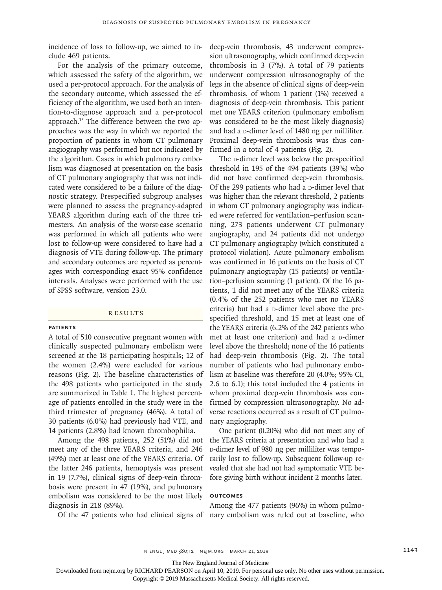incidence of loss to follow-up, we aimed to include 469 patients.

For the analysis of the primary outcome, which assessed the safety of the algorithm, we used a per-protocol approach. For the analysis of the secondary outcome, which assessed the efficiency of the algorithm, we used both an intention-to-diagnose approach and a per-protocol approach.15 The difference between the two approaches was the way in which we reported the proportion of patients in whom CT pulmonary angiography was performed but not indicated by the algorithm. Cases in which pulmonary embolism was diagnosed at presentation on the basis of CT pulmonary angiography that was not indicated were considered to be a failure of the diagnostic strategy. Prespecified subgroup analyses were planned to assess the pregnancy-adapted YEARS algorithm during each of the three trimesters. An analysis of the worst-case scenario was performed in which all patients who were lost to follow-up were considered to have had a diagnosis of VTE during follow-up. The primary and secondary outcomes are reported as percentages with corresponding exact 95% confidence intervals. Analyses were performed with the use of SPSS software, version 23.0.

### **RESULTS**

#### **Patients**

A total of 510 consecutive pregnant women with clinically suspected pulmonary embolism were screened at the 18 participating hospitals; 12 of the women (2.4%) were excluded for various reasons (Fig. 2). The baseline characteristics of the 498 patients who participated in the study are summarized in Table 1. The highest percentage of patients enrolled in the study were in the third trimester of pregnancy (46%). A total of 30 patients (6.0%) had previously had VTE, and 14 patients (2.8%) had known thrombophilia.

Among the 498 patients, 252 (51%) did not meet any of the three YEARS criteria, and 246 (49%) met at least one of the YEARS criteria. Of the latter 246 patients, hemoptysis was present in 19 (7.7%), clinical signs of deep-vein thrombosis were present in 47 (19%), and pulmonary embolism was considered to be the most likely diagnosis in 218 (89%).

deep-vein thrombosis, 43 underwent compression ultrasonography, which confirmed deep-vein thrombosis in 3 (7%). A total of 79 patients underwent compression ultrasonography of the legs in the absence of clinical signs of deep-vein thrombosis, of whom 1 patient (1%) received a diagnosis of deep-vein thrombosis. This patient met one YEARS criterion (pulmonary embolism was considered to be the most likely diagnosis) and had a  $d$ -dimer level of 1480 ng per milliliter. Proximal deep-vein thrombosis was thus confirmed in a total of 4 patients (Fig. 2).

The **D-dimer level was below the prespecified** threshold in 195 of the 494 patients (39%) who did not have confirmed deep-vein thrombosis. Of the 299 patients who had a  $D$ -dimer level that was higher than the relevant threshold, 2 patients in whom CT pulmonary angiography was indicated were referred for ventilation–perfusion scanning, 273 patients underwent CT pulmonary angiography, and 24 patients did not undergo CT pulmonary angiography (which constituted a protocol violation). Acute pulmonary embolism was confirmed in 16 patients on the basis of CT pulmonary angiography (15 patients) or ventilation–perfusion scanning (1 patient). Of the 16 patients, 1 did not meet any of the YEARS criteria (0.4% of the 252 patients who met no YEARS criteria) but had a p-dimer level above the prespecified threshold, and 15 met at least one of the YEARS criteria (6.2% of the 242 patients who met at least one criterion) and had a p-dimer level above the threshold; none of the 16 patients had deep-vein thrombosis (Fig. 2). The total number of patients who had pulmonary embolism at baseline was therefore 20 (4.0%; 95% CI, 2.6 to 6.1); this total included the 4 patients in whom proximal deep-vein thrombosis was confirmed by compression ultrasonography. No adverse reactions occurred as a result of CT pulmonary angiography.

One patient (0.20%) who did not meet any of the YEARS criteria at presentation and who had a d-dimer level of 980 ng per milliliter was temporarily lost to follow-up. Subsequent follow-up revealed that she had not had symptomatic VTE before giving birth without incident 2 months later.

### **Outcomes**

Of the 47 patients who had clinical signs of nary embolism was ruled out at baseline, who Among the 477 patients (96%) in whom pulmo-

The New England Journal of Medicine

Downloaded from nejm.org by RICHARD PEARSON on April 10, 2019. For personal use only. No other uses without permission.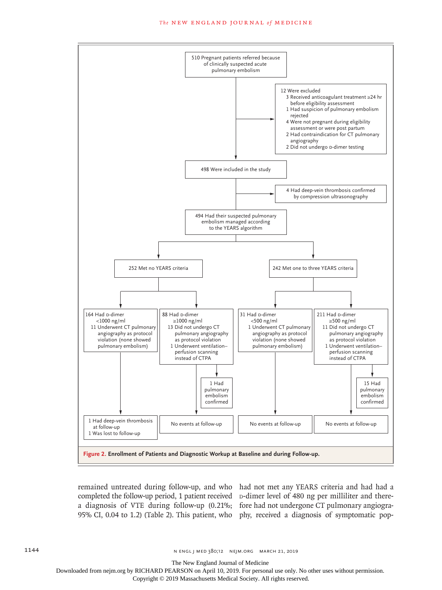#### **The NEW ENGLAND JOURNAL of MEDICINE**



remained untreated during follow-up, and who had not met any YEARS criteria and had had a completed the follow-up period, 1 patient received  $p$ -dimer level of 480 ng per milliliter and therea diagnosis of VTE during follow-up (0.21%; fore had not undergone CT pulmonary angiogra-95% CI, 0.04 to 1.2) (Table 2). This patient, who phy, received a diagnosis of symptomatic pop-

The New England Journal of Medicine

Downloaded from nejm.org by RICHARD PEARSON on April 10, 2019. For personal use only. No other uses without permission.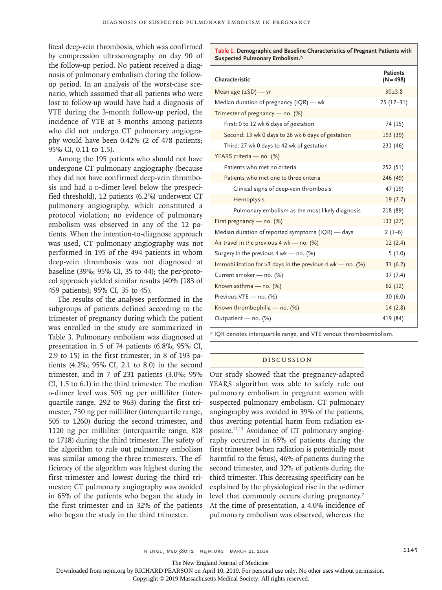liteal deep-vein thrombosis, which was confirmed by compression ultrasonography on day 90 of the follow-up period. No patient received a diagnosis of pulmonary embolism during the followup period. In an analysis of the worst-case scenario, which assumed that all patients who were lost to follow-up would have had a diagnosis of VTE during the 3-month follow-up period, the incidence of VTE at 3 months among patients who did not undergo CT pulmonary angiography would have been 0.42% (2 of 478 patients; 95% CI, 0.11 to 1.5).

Among the 195 patients who should not have undergone CT pulmonary angiography (because they did not have confirmed deep-vein thrombosis and had a p-dimer level below the prespecified threshold), 12 patients (6.2%) underwent CT pulmonary angiography, which constituted a protocol violation; no evidence of pulmonary embolism was observed in any of the 12 patients. When the intention-to-diagnose approach was used, CT pulmonary angiography was not performed in 195 of the 494 patients in whom deep-vein thrombosis was not diagnosed at baseline (39%; 95% CI, 35 to 44); the per-protocol approach yielded similar results (40% [183 of 459 patients]; 95% CI, 35 to 45).

The results of the analyses performed in the subgroups of patients defined according to the trimester of pregnancy during which the patient was enrolled in the study are summarized in Table 3. Pulmonary embolism was diagnosed at presentation in 5 of 74 patients (6.8%; 95% CI, 2.9 to 15) in the first trimester, in 8 of 193 patients (4.2%; 95% CI, 2.1 to 8.0) in the second trimester, and in 7 of 231 patients (3.0%; 95% CI, 1.5 to 6.1) in the third trimester. The median d-dimer level was 505 ng per milliliter (interquartile range, 292 to 963) during the first trimester, 730 ng per milliliter (interquartile range, 505 to 1260) during the second trimester, and 1120 ng per milliliter (interquartile range, 818 to 1718) during the third trimester. The safety of the algorithm to rule out pulmonary embolism was similar among the three trimesters. The efficiency of the algorithm was highest during the first trimester and lowest during the third trimester; CT pulmonary angiography was avoided in 65% of the patients who began the study in the first trimester and in 32% of the patients who began the study in the third trimester.

**Table 1. Demographic and Baseline Characteristics of Pregnant Patients with Suspected Pulmonary Embolism.\***

| Characteristic                                                | <b>Patients</b><br>$(N = 498)$ |
|---------------------------------------------------------------|--------------------------------|
| Mean age $(\pm SD)$ - yr                                      | 30±5.8                         |
| Median duration of pregnancy (IQR) — wk                       | $25(17-31)$                    |
| Trimester of pregnancy — no. (%)                              |                                |
| First: 0 to 12 wk 6 days of gestation                         | 74 (15)                        |
| Second: 13 wk 0 days to 26 wk 6 days of gestation             | 193 (39)                       |
| Third: 27 wk 0 days to 42 wk of gestation                     | 231 (46)                       |
| YEARS criteria - no. (%)                                      |                                |
| Patients who met no criteria                                  | 252 (51)                       |
| Patients who met one to three criteria                        | 246 (49)                       |
| Clinical signs of deep-vein thrombosis                        | 47 (19)                        |
| Hemoptysis                                                    | 19(7.7)                        |
| Pulmonary embolism as the most likely diagnosis               | 218 (89)                       |
| First pregnancy - no. (%)                                     | 133(27)                        |
| Median duration of reported symptoms (IQR) — days             | $2(1-6)$                       |
| Air travel in the previous $4$ wk — no. (%)                   | 12(2.4)                        |
| Surgery in the previous $4$ wk – no. (%)                      | 5(1.0)                         |
| Immobilization for > 3 days in the previous 4 wk – no. $(\%)$ | 31(6.2)                        |
| Current smoker - no. (%)                                      | 37(7.4)                        |
| Known asthma - no. (%)                                        | 62(12)                         |
| Previous VTE - no. (%)                                        | 30(6.0)                        |
| Known thrombophilia — no. $(\%)$                              | 14(2.8)                        |
| Outpatient - no. (%)                                          | 419 (84)                       |

\* IQR denotes interquartile range, and VTE venous thromboembolism.

## Discussion

Our study showed that the pregnancy-adapted YEARS algorithm was able to safely rule out pulmonary embolism in pregnant women with suspected pulmonary embolism. CT pulmonary angiography was avoided in 39% of the patients, thus averting potential harm from radiation exposure.12,13 Avoidance of CT pulmonary angiography occurred in 65% of patients during the first trimester (when radiation is potentially most harmful to the fetus), 46% of patients during the second trimester, and 32% of patients during the third trimester. This decreasing specificity can be explained by the physiological rise in the p-dimer level that commonly occurs during pregnancy.<sup>7</sup> At the time of presentation, a 4.0% incidence of pulmonary embolism was observed, whereas the

The New England Journal of Medicine

Downloaded from nejm.org by RICHARD PEARSON on April 10, 2019. For personal use only. No other uses without permission.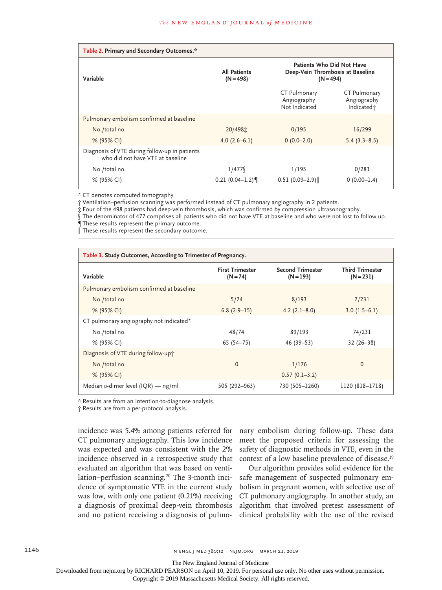| Table 2. Primary and Secondary Outcomes.*                                         |                                    |                                                                              |                                                       |
|-----------------------------------------------------------------------------------|------------------------------------|------------------------------------------------------------------------------|-------------------------------------------------------|
| Variable                                                                          | <b>All Patients</b><br>$(N = 498)$ | Patients Who Did Not Have<br>Deep-Vein Thrombosis at Baseline<br>$(N = 494)$ |                                                       |
|                                                                                   |                                    | CT Pulmonary<br>Angiography<br>Not Indicated                                 | CT Pulmonary<br>Angiography<br>Indicated <sup>+</sup> |
| Pulmonary embolism confirmed at baseline                                          |                                    |                                                                              |                                                       |
| No./total no.                                                                     | 20/498士                            | 0/195                                                                        | 16/299                                                |
| % (95% CI)                                                                        | $4.0(2.6-6.1)$                     | $0(0.0-2.0)$                                                                 | $5.4(3.3-8.5)$                                        |
| Diagnosis of VTE during follow-up in patients<br>who did not have VTE at baseline |                                    |                                                                              |                                                       |
| No./total no.                                                                     | 1/477                              | 1/195                                                                        | 0/283                                                 |
| % (95% CI)                                                                        | $0.21(0.04-1.2)$                   | $0.51(0.09-2.9)$                                                             | $0(0.00-1.4)$                                         |

\* CT denotes computed tomography.

† Ventilation–perfusion scanning was performed instead of CT pulmonary angiography in 2 patients.

‡ Four of the 498 patients had deep-vein thrombosis, which was confirmed by compression ultrasonography.

The denominator of 477 comprises all patients who did not have VTE at baseline and who were not lost to follow up. ¶ These results represent the primary outcome.

 $\mathbb I$  These results represent the secondary outcome.

| Table 3. Study Outcomes, According to Trimester of Pregnancy. |                                      |                                        |                                       |  |
|---------------------------------------------------------------|--------------------------------------|----------------------------------------|---------------------------------------|--|
| Variable                                                      | <b>First Trimester</b><br>$(N = 74)$ | <b>Second Trimester</b><br>$(N = 193)$ | <b>Third Trimester</b><br>$(N = 231)$ |  |
| Pulmonary embolism confirmed at baseline                      |                                      |                                        |                                       |  |
| No./total no.                                                 | 5/74                                 | 8/193                                  | 7/231                                 |  |
| % (95% CI)                                                    | $6.8(2.9-15)$                        | $4.2(2.1 - 8.0)$                       | $3.0(1.5-6.1)$                        |  |
| CT pulmonary angiography not indicated*                       |                                      |                                        |                                       |  |
| No./total no.                                                 | 48/74                                | 89/193                                 | 74/231                                |  |
| % (95% CI)                                                    | $65(54 - 75)$                        | 46 (39–53)                             | $32(26-38)$                           |  |
| Diagnosis of VTE during follow-up+                            |                                      |                                        |                                       |  |
| No./total no.                                                 | $\mathbf{0}$                         | 1/176                                  | $\Omega$                              |  |
| % (95% CI)                                                    |                                      | $0.57(0.1-3.2)$                        |                                       |  |
| Median $\upsilon$ -dimer level (IQR) — ng/ml                  | 505 (292-963)                        | 730 (505-1260)                         | 1120 (818-1718)                       |  |

\* Results are from an intention-to-diagnose analysis.

† Results are from a per-protocol analysis.

incidence was 5.4% among patients referred for CT pulmonary angiography. This low incidence was expected and was consistent with the 2% incidence observed in a retrospective study that evaluated an algorithm that was based on ventilation–perfusion scanning.20 The 3-month incidence of symptomatic VTE in the current study was low, with only one patient (0.21%) receiving a diagnosis of proximal deep-vein thrombosis and no patient receiving a diagnosis of pulmo-

nary embolism during follow-up. These data meet the proposed criteria for assessing the safety of diagnostic methods in VTE, even in the context of a low baseline prevalence of disease.<sup>19</sup>

Our algorithm provides solid evidence for the safe management of suspected pulmonary embolism in pregnant women, with selective use of CT pulmonary angiography. In another study, an algorithm that involved pretest assessment of clinical probability with the use of the revised

The New England Journal of Medicine

Downloaded from nejm.org by RICHARD PEARSON on April 10, 2019. For personal use only. No other uses without permission.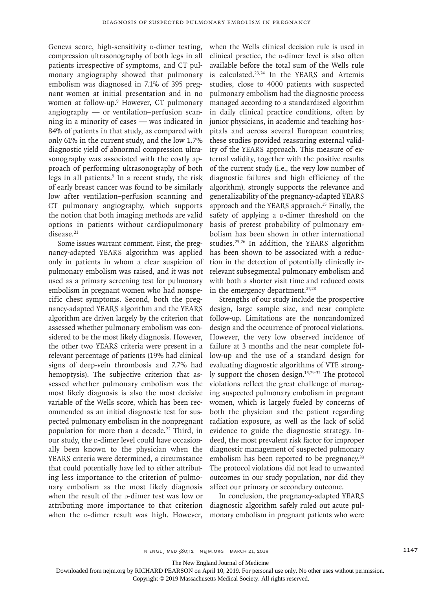Geneva score, high-sensitivity p-dimer testing, compression ultrasonography of both legs in all patients irrespective of symptoms, and CT pulmonary angiography showed that pulmonary embolism was diagnosed in 7.1% of 395 pregnant women at initial presentation and in no women at follow-up.9 However, CT pulmonary angiography — or ventilation–perfusion scanning in a minority of cases — was indicated in 84% of patients in that study, as compared with only 61% in the current study, and the low 1.7% diagnostic yield of abnormal compression ultrasonography was associated with the costly approach of performing ultrasonography of both legs in all patients.<sup>9</sup> In a recent study, the risk of early breast cancer was found to be similarly low after ventilation–perfusion scanning and CT pulmonary angiography, which supports the notion that both imaging methods are valid options in patients without cardiopulmonary disease.<sup>21</sup>

Some issues warrant comment. First, the pregnancy-adapted YEARS algorithm was applied only in patients in whom a clear suspicion of pulmonary embolism was raised, and it was not used as a primary screening test for pulmonary embolism in pregnant women who had nonspecific chest symptoms. Second, both the pregnancy-adapted YEARS algorithm and the YEARS algorithm are driven largely by the criterion that assessed whether pulmonary embolism was considered to be the most likely diagnosis. However, the other two YEARS criteria were present in a relevant percentage of patients (19% had clinical signs of deep-vein thrombosis and 7.7% had hemoptysis). The subjective criterion that assessed whether pulmonary embolism was the most likely diagnosis is also the most decisive variable of the Wells score, which has been recommended as an initial diagnostic test for suspected pulmonary embolism in the nonpregnant population for more than a decade.<sup>22</sup> Third, in our study, the p-dimer level could have occasionally been known to the physician when the YEARS criteria were determined, a circumstance that could potentially have led to either attributing less importance to the criterion of pulmonary embolism as the most likely diagnosis when the result of the p-dimer test was low or attributing more importance to that criterion when the p-dimer result was high. However,

when the Wells clinical decision rule is used in clinical practice, the p-dimer level is also often available before the total sum of the Wells rule is calculated.<sup>23,24</sup> In the YEARS and Artemis studies, close to 4000 patients with suspected pulmonary embolism had the diagnostic process managed according to a standardized algorithm in daily clinical practice conditions, often by junior physicians, in academic and teaching hospitals and across several European countries; these studies provided reassuring external validity of the YEARS approach. This measure of external validity, together with the positive results of the current study (i.e., the very low number of diagnostic failures and high efficiency of the algorithm), strongly supports the relevance and generalizability of the pregnancy-adapted YEARS approach and the YEARS approach.15 Finally, the safety of applying a  $\nu$ -dimer threshold on the basis of pretest probability of pulmonary embolism has been shown in other international studies.25,26 In addition, the YEARS algorithm has been shown to be associated with a reduction in the detection of potentially clinically irrelevant subsegmental pulmonary embolism and with both a shorter visit time and reduced costs in the emergency department. $27,28$ 

Strengths of our study include the prospective design, large sample size, and near complete follow-up. Limitations are the nonrandomized design and the occurrence of protocol violations. However, the very low observed incidence of failure at 3 months and the near complete follow-up and the use of a standard design for evaluating diagnostic algorithms of VTE strongly support the chosen design.15,29-32 The protocol violations reflect the great challenge of managing suspected pulmonary embolism in pregnant women, which is largely fueled by concerns of both the physician and the patient regarding radiation exposure, as well as the lack of solid evidence to guide the diagnostic strategy. Indeed, the most prevalent risk factor for improper diagnostic management of suspected pulmonary embolism has been reported to be pregnancy.<sup>33</sup> The protocol violations did not lead to unwanted outcomes in our study population, nor did they affect our primary or secondary outcome.

In conclusion, the pregnancy-adapted YEARS diagnostic algorithm safely ruled out acute pulmonary embolism in pregnant patients who were

The New England Journal of Medicine

Downloaded from nejm.org by RICHARD PEARSON on April 10, 2019. For personal use only. No other uses without permission.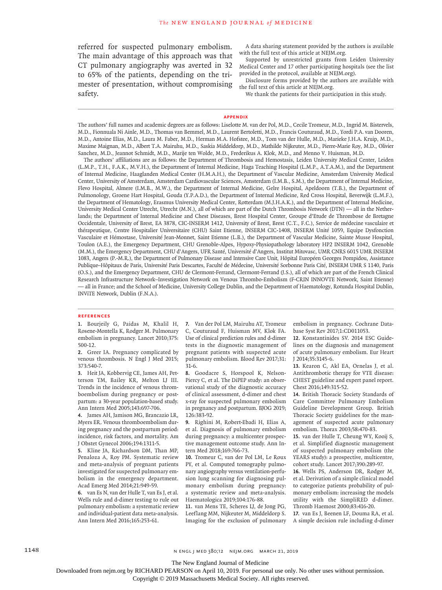referred for suspected pulmonary embolism. The main advantage of this approach was that CT pulmonary angiography was averted in 32 to 65% of the patients, depending on the trimester of presentation, without compromising safety.

A data sharing statement provided by the authors is available with the full text of this article at NEJM.org.

Supported by unrestricted grants from Leiden University Medical Center and 17 other participating hospitals (see the list provided in the protocol, available at NEJM.org).

Disclosure forms provided by the authors are available with the full text of this article at NEJM.org.

We thank the patients for their participation in this study.

#### **Appendix**

The authors' full names and academic degrees are as follows: Liselotte M. van der Pol, M.D., Cecile Tromeur, M.D., Ingrid M. Bistervels, M.D., Fionnuala Ni Ainle, M.D., Thomas van Bemmel, M.D., Laurent Bertoletti, M.D., Francis Couturaud, M.D., Yordi P.A. van Dooren, M.D., Antoine Elias, M.D., Laura M. Faber, M.D., Herman M.A. Hofstee, M.D., Tom van der Hulle, M.D., Marieke J.H.A. Kruip, M.D., Maxime Maignan, M.D., Albert T.A. Mairuhu, M.D., Saskia Middeldorp, M.D., Mathilde Nijkeuter, M.D., Pierre-Marie Roy, M.D., Olivier Sanchez, M.D., Jeannot Schmidt, M.D., Marije ten Wolde, M.D., Frederikus A. Klok, M.D., and Menno V. Huisman, M.D.

The authors' affiliations are as follows: the Department of Thrombosis and Hemostasis, Leiden University Medical Center, Leiden (L.M.P., T.H., F.A.K., M.V.H.), the Department of Internal Medicine, Haga Teaching Hospital (L.M.P., A.T.A.M.), and the Department of Internal Medicine, Haaglanden Medical Center (H.M.A.H.), the Department of Vascular Medicine, Amsterdam University Medical Center, University of Amsterdam, Amsterdam Cardiovascular Sciences, Amsterdam (I.M.B., S.M.), the Department of Internal Medicine, Flevo Hospital, Almere (I.M.B., M.W.), the Department of Internal Medicine, Gelre Hospital, Apeldoorn (T.B.), the Department of Pulmonology, Groene Hart Hospital, Gouda (Y.P.A.D.), the Department of Internal Medicine, Red Cross Hospital, Beverwijk (L.M.F.), the Department of Hematology, Erasmus University Medical Center, Rotterdam (M.J.H.A.K.), and the Department of Internal Medicine, University Medical Center Utrecht, Utrecht (M.N.), all of which are part of the Dutch Thrombosis Network (DTN) — all in the Netherlands; the Department of Internal Medicine and Chest Diseases, Brest Hospital Center, Groupe d'Etude de Thrombose de Bretagne Occidentale, University of Brest, EA 3878, CIC-INSERM 1412, University of Brest, Brest (C.T., F.C.), Service de médecine vasculaire et thérapeutique, Centre Hospitalier Universitaire (CHU) Saint Etienne, INSERM CIC-1408, INSERM Unité 1059, Equipe Dysfonction Vasculaire et Hémostase, Université Jean-Monnet, Saint Etienne (L.B.), the Department of Vascular Medicine, Sainte Musse Hospital, Toulon (A.E.), the Emergency Department, CHU Grenoble-Alpes, Hypoxy-Physiopathology laboratory HP2 INSERM 1042, Grenoble (M.M.), the Emergency Department, CHU d'Angers, UFR Santé, Université d'Angers, Institut Mitovasc, UMR CNRS 6015 UMR INSERM 1083, Angers (P.-M.R.), the Department of Pulmonary Disease and Intensive Care Unit, Hôpital Européen Georges Pompidou, Assistance Publique–Hôpitaux de Paris, Université Paris Descartes, Faculté de Médecine, Université Sorbonne Paris Cité, INSERM UMR S 1140, Paris (O.S.), and the Emergency Department, CHU de Clermont-Ferrand, Clermont-Ferrand (J.S.), all of which are part of the French Clinical Research Infrastructure Network–Investigation Network on Venous Thrombo-Embolism (F-CRIN INNOVTE Network, Saint Etienne) — all in France; and the School of Medicine, University College Dublin, and the Department of Haematology, Rotunda Hospital Dublin, INViTE Network, Dublin (F.N.A.).

#### **References**

**1.** Bourjeily G, Paidas M, Khalil H, Rosene-Montella K, Rodger M. Pulmonary embolism in pregnancy. Lancet 2010;375: 500-12.

**2.** Greer IA. Pregnancy complicated by venous thrombosis. N Engl J Med 2015; 373:540-7.

**3.** Heit JA, Kobbervig CE, James AH, Petterson TM, Bailey KR, Melton LJ III. Trends in the incidence of venous thromboembolism during pregnancy or postpartum: a 30-year population-based study. Ann Intern Med 2005;143:697-706.

**4.** James AH, Jamison MG, Brancazio LR, Myers ER. Venous thromboembolism during pregnancy and the postpartum period: incidence, risk factors, and mortality. Am J Obstet Gynecol 2006;194:1311-5.

**5.** Kline JA, Richardson DM, Than MP, Penaloza A, Roy PM. Systematic review and meta-analysis of pregnant patients investigated for suspected pulmonary embolism in the emergency department. Acad Emerg Med 2014;21:949-59.

**6.** van Es N, van der Hulle T, van Es J, et al. Wells rule and d-dimer testing to rule out pulmonary embolism: a systematic review and individual-patient data meta-analysis. Ann Intern Med 2016;165:253-61.

**7.** Van der Pol LM, Mairuhu AT, Tromeur C, Couturaud F, Huisman MV, Klok FA. Use of clinical prediction rules and d-dimer tests in the diagnostic management of pregnant patients with suspected acute pulmonary embolism. Blood Rev 2017;31: 31-6.

**8.** Goodacre S, Horspool K, Nelson-Piercy C, et al. The DiPEP study: an observational study of the diagnostic accuracy of clinical assessment, d-dimer and chest x-ray for suspected pulmonary embolism in pregnancy and postpartum. BJOG 2019; 126:383-92.

**9.** Righini M, Robert-Ebadi H, Elias A, et al. Diagnosis of pulmonary embolism during pregnancy: a multicenter prospective management outcome study. Ann Intern Med 2018;169:766-73.

**10.** Tromeur C, van der Pol LM, Le Roux PY, et al. Computed tomography pulmonary angiography versus ventilation-perfusion lung scanning for diagnosing pulmonary embolism during pregnancy: a systematic review and meta-analysis. Haematologica 2019;104:176-88.

**11.** van Mens TE, Scheres LJ, de Jong PG, Leeflang MM, Nijkeuter M, Middeldorp S. Imaging for the exclusion of pulmonary embolism in pregnancy. Cochrane Database Syst Rev 2017;1:CD011053.

**12.** Konstantinides SV. 2014 ESC Guidelines on the diagnosis and management of acute pulmonary embolism. Eur Heart J 2014;35:3145-6.

**13.** Kearon C, Akl EA, Ornelas J, et al. Antithrombotic therapy for VTE disease: CHEST guideline and expert panel report. Chest 2016;149:315-52.

**14.** British Thoracic Society Standards of Care Committee Pulmonary Embolism Guideline Development Group. British Thoracic Society guidelines for the management of suspected acute pulmonary embolism. Thorax 2003;58:470-83.

**15.** van der Hulle T, Cheung WY, Kooij S, et al. Simplified diagnostic management of suspected pulmonary embolism (the YEARS study): a prospective, multicentre, cohort study. Lancet 2017;390:289-97.

**16.** Wells PS, Anderson DR, Rodger M, et al. Derivation of a simple clinical model to categorize patients probability of pulmonary embolism: increasing the models utility with the SimpliRED d-dimer. Thromb Haemost 2000;83:416-20.

**17.** van Es J, Beenen LF, Douma RA, et al. A simple decision rule including d-dimer

1148 **n engl j med 380;12** N ENGL J MED 380;12 N EJM.ORG MARCH 21, 2019

The New England Journal of Medicine

Downloaded from nejm.org by RICHARD PEARSON on April 10, 2019. For personal use only. No other uses without permission.